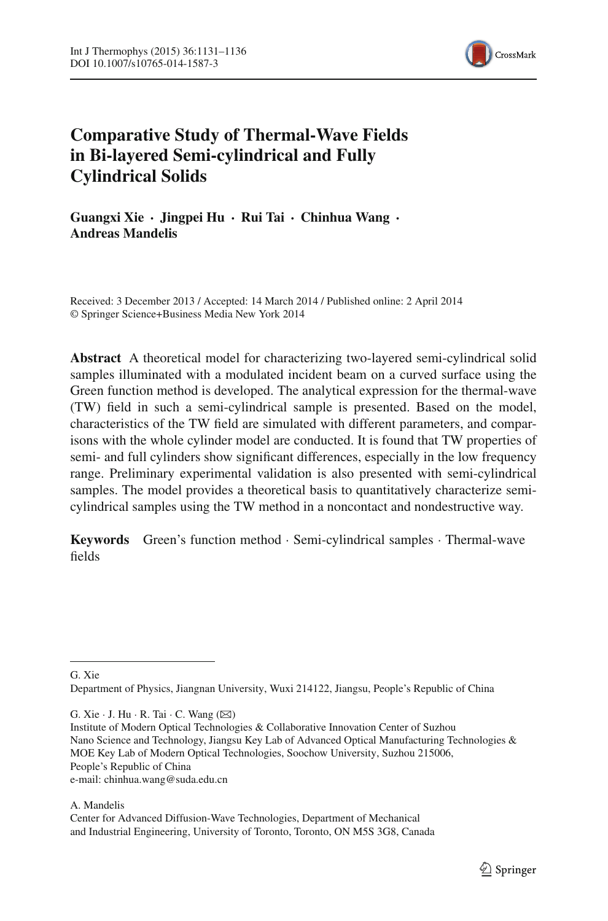

# **Comparative Study of Thermal-Wave Fields in Bi-layered Semi-cylindrical and Fully Cylindrical Solids**

**Guangxi Xie · Jingpei Hu · Rui Tai · Chinhua Wang · Andreas Mandelis**

Received: 3 December 2013 / Accepted: 14 March 2014 / Published online: 2 April 2014 © Springer Science+Business Media New York 2014

**Abstract** A theoretical model for characterizing two-layered semi-cylindrical solid samples illuminated with a modulated incident beam on a curved surface using the Green function method is developed. The analytical expression for the thermal-wave (TW) field in such a semi-cylindrical sample is presented. Based on the model, characteristics of the TW field are simulated with different parameters, and comparisons with the whole cylinder model are conducted. It is found that TW properties of semi- and full cylinders show significant differences, especially in the low frequency range. Preliminary experimental validation is also presented with semi-cylindrical samples. The model provides a theoretical basis to quantitatively characterize semicylindrical samples using the TW method in a noncontact and nondestructive way.

**Keywords** Green's function method · Semi-cylindrical samples · Thermal-wave fields

G. Xie

Department of Physics, Jiangnan University, Wuxi 214122, Jiangsu, People's Republic of China

G. Xie  $\cdot$  J. Hu  $\cdot$  R. Tai  $\cdot$  C. Wang ( $\boxtimes$ )

Institute of Modern Optical Technologies & Collaborative Innovation Center of Suzhou Nano Science and Technology, Jiangsu Key Lab of Advanced Optical Manufacturing Technologies & MOE Key Lab of Modern Optical Technologies, Soochow University, Suzhou 215006, People's Republic of China e-mail: chinhua.wang@suda.edu.cn

A. Mandelis

Center for Advanced Diffusion-Wave Technologies, Department of Mechanical and Industrial Engineering, University of Toronto, Toronto, ON M5S 3G8, Canada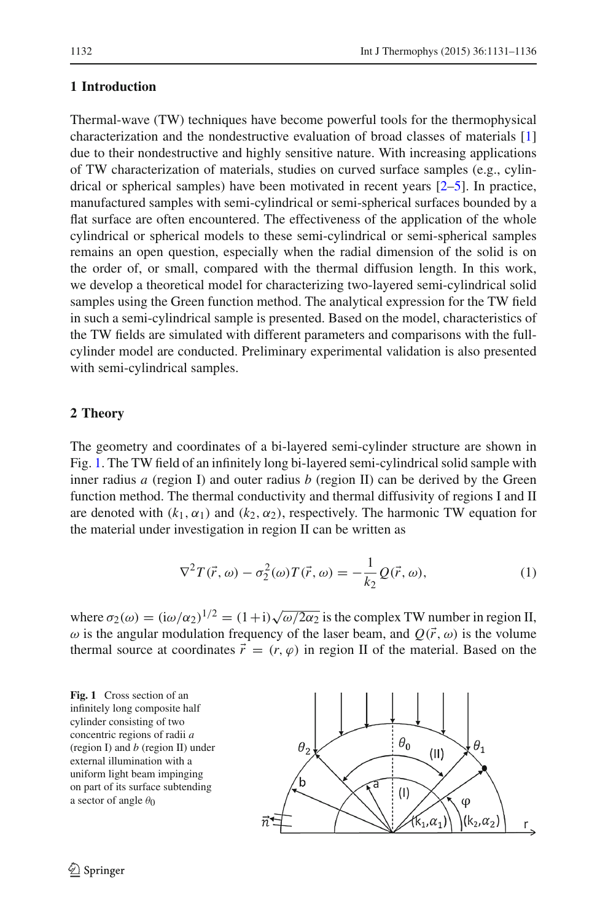# **1 Introduction**

Thermal-wave (TW) techniques have become powerful tools for the thermophysical characterization and the nondestructive evaluation of broad classes of materials [\[1\]](#page-5-0) due to their nondestructive and highly sensitive nature. With increasing applications of TW characterization of materials, studies on curved surface samples (e.g., cylindrical or spherical samples) have been motivated in recent years [\[2](#page-5-1)[–5](#page-5-2)]. In practice, manufactured samples with semi-cylindrical or semi-spherical surfaces bounded by a flat surface are often encountered. The effectiveness of the application of the whole cylindrical or spherical models to these semi-cylindrical or semi-spherical samples remains an open question, especially when the radial dimension of the solid is on the order of, or small, compared with the thermal diffusion length. In this work, we develop a theoretical model for characterizing two-layered semi-cylindrical solid samples using the Green function method. The analytical expression for the TW field in such a semi-cylindrical sample is presented. Based on the model, characteristics of the TW fields are simulated with different parameters and comparisons with the fullcylinder model are conducted. Preliminary experimental validation is also presented with semi-cylindrical samples.

## **2 Theory**

The geometry and coordinates of a bi-layered semi-cylinder structure are shown in Fig. [1.](#page-1-0) The TW field of an infinitely long bi-layered semi-cylindrical solid sample with inner radius *a* (region I) and outer radius *b* (region II) can be derived by the Green function method. The thermal conductivity and thermal diffusivity of regions I and II are denoted with  $(k_1, \alpha_1)$  and  $(k_2, \alpha_2)$ , respectively. The harmonic TW equation for the material under investigation in region II can be written as

$$
\nabla^2 T(\vec{r}, \omega) - \sigma_2^2(\omega) T(\vec{r}, \omega) = -\frac{1}{k_2} Q(\vec{r}, \omega), \tag{1}
$$

<span id="page-1-1"></span>where  $\sigma_2(\omega) = (\mathrm{i}\omega/\alpha_2)^{1/2} = (1+\mathrm{i})\sqrt{\omega/2\alpha_2}$  is the complex TW number in region II,  $\omega$  is the angular modulation frequency of the laser beam, and  $Q(\vec{r}, \omega)$  is the volume thermal source at coordinates  $\vec{r} = (r, \varphi)$  in region II of the material. Based on the

<span id="page-1-0"></span>**Fig. 1** Cross section of an infinitely long composite half cylinder consisting of two concentric regions of radii *a* (region I) and *b* (region II) under external illumination with a uniform light beam impinging on part of its surface subtending a sector of angle  $\theta_0$ 

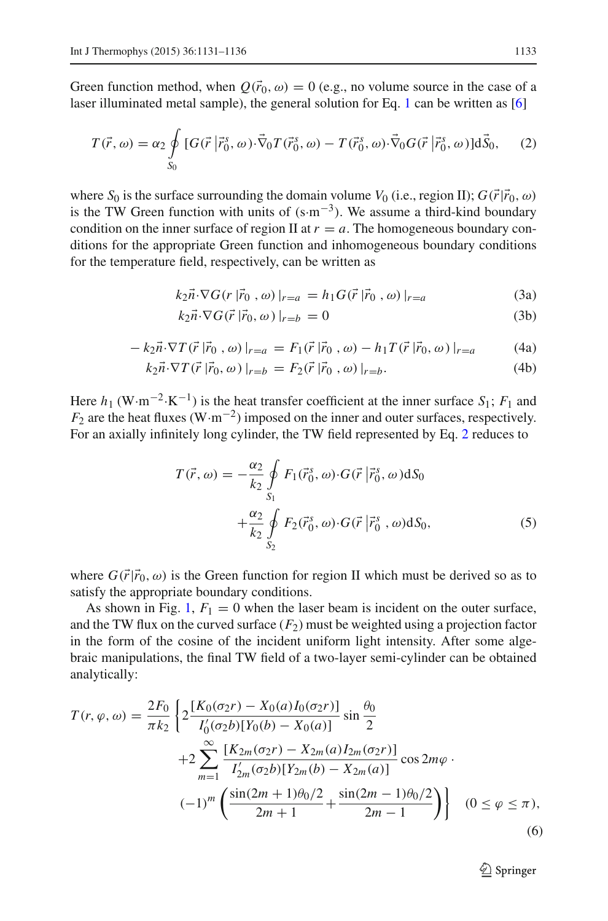<span id="page-2-0"></span>Green function method, when  $Q(\vec{r}_0, \omega) = 0$  (e.g., no volume source in the case of a laser illuminated metal sample), the general solution for Eq. [1](#page-1-1) can be written as [\[6\]](#page-5-3)

$$
T(\vec{r},\omega) = \alpha_2 \oint\limits_{S_0} [G(\vec{r} \mid \vec{r}_0^s, \omega) \cdot \vec{\nabla}_0 T(\vec{r}_0^s, \omega) - T(\vec{r}_0^s, \omega) \cdot \vec{\nabla}_0 G(\vec{r} \mid \vec{r}_0^s, \omega)]d\vec{S}_0, \quad (2)
$$

where *S*<sub>0</sub> is the surface surrounding the domain volume *V*<sub>0</sub> (i.e., region II);  $G(\vec{r}|\vec{r}_0, \omega)$ is the TW Green function with units of  $(s·m<sup>-3</sup>)$ . We assume a third-kind boundary condition on the inner surface of region II at  $r = a$ . The homogeneous boundary conditions for the appropriate Green function and inhomogeneous boundary conditions for the temperature field, respectively, can be written as

$$
k_2 \vec{n} \cdot \nabla G(r \, | \vec{r}_0 \, , \omega) \, |_{r=a} = h_1 G(\vec{r} \, | \vec{r}_0 \, , \omega) \, |_{r=a} \tag{3a}
$$

$$
k_2 \vec{n} \cdot \nabla G(\vec{r} \,|\vec{r}_0, \omega)|_{r=b} = 0 \tag{3b}
$$

$$
- k_2 \vec{n} \cdot \nabla T(\vec{r} | \vec{r}_0, \omega) |_{r=a} = F_1(\vec{r} | \vec{r}_0, \omega) - h_1 T(\vec{r} | \vec{r}_0, \omega) |_{r=a}
$$
(4a)

$$
k_2 \vec{n} \cdot \nabla T(\vec{r} | \vec{r}_0, \omega) |_{r=b} = F_2(\vec{r} | \vec{r}_0, \omega) |_{r=b}.
$$
 (4b)

Here  $h_1$  (W·m<sup>-2</sup>·K<sup>-1</sup>) is the heat transfer coefficient at the inner surface  $S_1$ ;  $F_1$  and *F*<sub>2</sub> are the heat fluxes (W·m<sup>-2</sup>) imposed on the inner and outer surfaces, respectively. For an axially infinitely long cylinder, the TW field represented by Eq. [2](#page-2-0) reduces to

$$
T(\vec{r}, \omega) = -\frac{\alpha_2}{k_2} \oint_{S_1} F_1(\vec{r}_0^s, \omega) \cdot G(\vec{r} | \vec{r}_0^s, \omega) dS_0 + \frac{\alpha_2}{k_2} \oint_{S_2} F_2(\vec{r}_0^s, \omega) \cdot G(\vec{r} | \vec{r}_0^s, \omega) dS_0,
$$
 (5)

where  $G(\vec{r}|\vec{r}_0,\omega)$  is the Green function for region II which must be derived so as to satisfy the appropriate boundary conditions.

As shown in Fig. [1,](#page-1-0)  $F_1 = 0$  when the laser beam is incident on the outer surface, and the TW flux on the curved surface  $(F_2)$  must be weighted using a projection factor in the form of the cosine of the incident uniform light intensity. After some algebraic manipulations, the final TW field of a two-layer semi-cylinder can be obtained analytically:

<span id="page-2-1"></span>
$$
T(r, \varphi, \omega) = \frac{2F_0}{\pi k_2} \left\{ 2 \frac{[K_0(\sigma_2 r) - X_0(a)I_0(\sigma_2 r)]}{I'_0(\sigma_2 b)[Y_0(b) - X_0(a)]} \sin \frac{\theta_0}{2} + 2 \sum_{m=1}^{\infty} \frac{[K_{2m}(\sigma_2 r) - X_{2m}(a)I_{2m}(\sigma_2 r)]}{I'_{2m}(\sigma_2 b)[Y_{2m}(b) - X_{2m}(a)]} \cos 2m\varphi \cdot (-1)^m \left( \frac{\sin(2m+1)\theta_0/2}{2m+1} + \frac{\sin(2m-1)\theta_0/2}{2m-1} \right) \right\} \quad (0 \le \varphi \le \pi),
$$
\n(6)

<sup>2</sup> Springer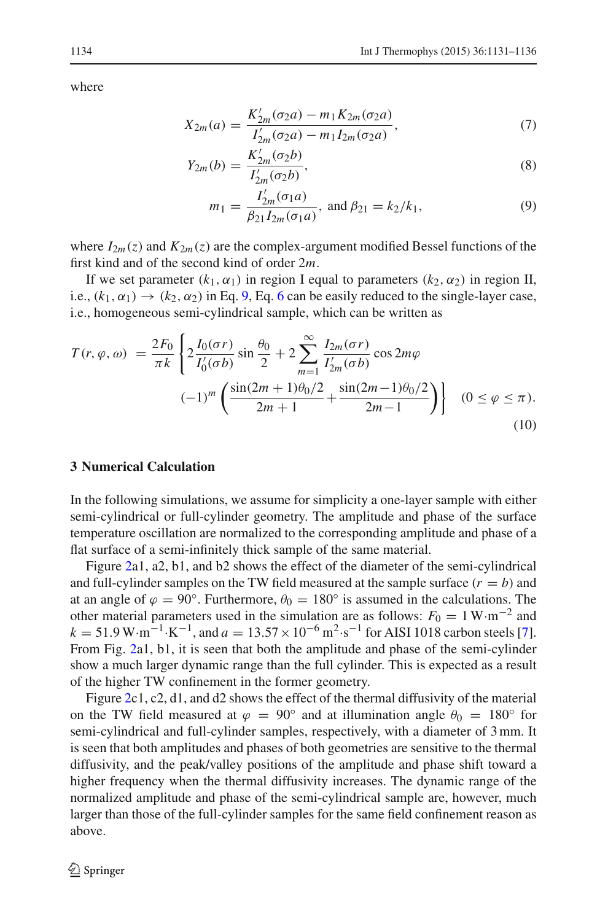<span id="page-3-0"></span>where

$$
X_{2m}(a) = \frac{K'_{2m}(\sigma_2 a) - m_1 K_{2m}(\sigma_2 a)}{I'_{2m}(\sigma_2 a) - m_1 I_{2m}(\sigma_2 a)},
$$
\n<sup>(7)</sup>

$$
Y_{2m}(b) = \frac{K'_{2m}(\sigma_2 b)}{I'_{2m}(\sigma_2 b)},
$$
\n(8)

$$
m_1 = \frac{I'_{2m}(\sigma_1 a)}{\beta_{21} I_{2m}(\sigma_1 a)}, \text{ and } \beta_{21} = k_2 / k_1,
$$
 (9)

where  $I_{2m}(z)$  and  $K_{2m}(z)$  are the complex-argument modified Bessel functions of the first kind and of the second kind of order 2*m*.

If we set parameter  $(k_1, \alpha_1)$  in region I equal to parameters  $(k_2, \alpha_2)$  in region II, i.e.,  $(k_1, \alpha_1) \rightarrow (k_2, \alpha_2)$  in Eq. [9,](#page-3-0) Eq. [6](#page-2-1) can be easily reduced to the single-layer case, i.e., homogeneous semi-cylindrical sample, which can be written as

$$
T(r, \varphi, \omega) = \frac{2F_0}{\pi k} \left\{ 2 \frac{I_0(\sigma r)}{I'_0(\sigma b)} \sin \frac{\theta_0}{2} + 2 \sum_{m=1}^{\infty} \frac{I_{2m}(\sigma r)}{I'_{2m}(\sigma b)} \cos 2m\varphi - (-1)^m \left( \frac{\sin(2m+1)\theta_0/2}{2m+1} + \frac{\sin(2m-1)\theta_0/2}{2m-1} \right) \right\} \quad (0 \le \varphi \le \pi).
$$
\n(10)

## **3 Numerical Calculation**

In the following simulations, we assume for simplicity a one-layer sample with either semi-cylindrical or full-cylinder geometry. The amplitude and phase of the surface temperature oscillation are normalized to the corresponding amplitude and phase of a flat surface of a semi-infinitely thick sample of the same material.

Figure [2a](#page-4-0)1, a2, b1, and b2 shows the effect of the diameter of the semi-cylindrical and full-cylinder samples on the TW field measured at the sample surface  $(r = b)$  and at an angle of  $\varphi = 90^\circ$ . Furthermore,  $\theta_0 = 180^\circ$  is assumed in the calculations. The other material parameters used in the simulation are as follows:  $F_0 = 1 \,\text{W} \cdot \text{m}^{-2}$  and  $k = 51.9 \,\text{W} \cdot \text{m}^{-1} \cdot \text{K}^{-1}$ , and  $a = 13.57 \times 10^{-6} \,\text{m}^2 \cdot \text{s}^{-1}$  for AISI 1018 carbon steels [\[7](#page-5-4)]. From Fig. [2a](#page-4-0)1, b1, it is seen that both the amplitude and phase of the semi-cylinder show a much larger dynamic range than the full cylinder. This is expected as a result of the higher TW confinement in the former geometry.

Figure [2c](#page-4-0)1, c2, d1, and d2 shows the effect of the thermal diffusivity of the material on the TW field measured at  $\varphi = 90^\circ$  and at illumination angle  $\theta_0 = 180^\circ$  for semi-cylindrical and full-cylinder samples, respectively, with a diameter of 3 mm. It is seen that both amplitudes and phases of both geometries are sensitive to the thermal diffusivity, and the peak/valley positions of the amplitude and phase shift toward a higher frequency when the thermal diffusivity increases. The dynamic range of the normalized amplitude and phase of the semi-cylindrical sample are, however, much larger than those of the full-cylinder samples for the same field confinement reason as above.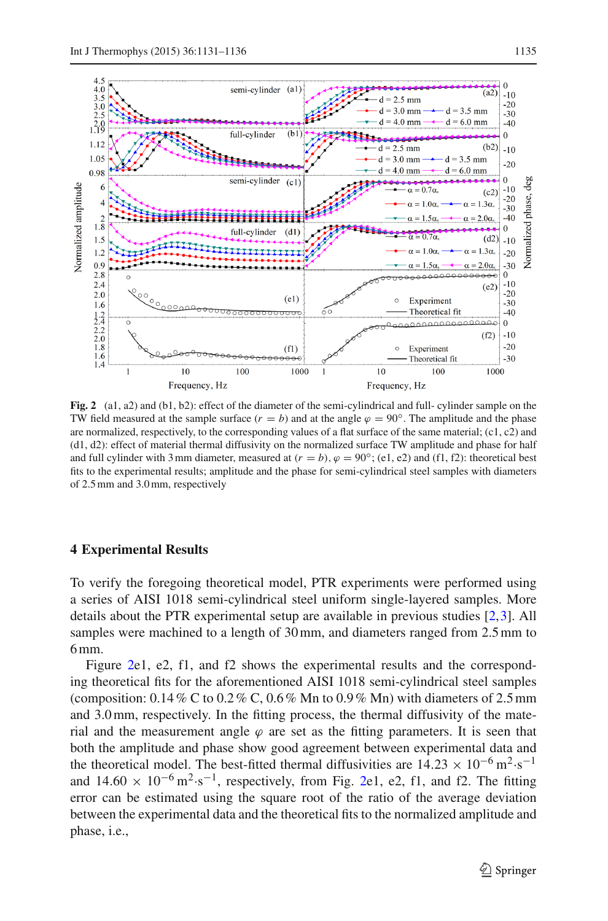

<span id="page-4-0"></span>**Fig. 2** (a1, a2) and (b1, b2): effect of the diameter of the semi-cylindrical and full- cylinder sample on the TW field measured at the sample surface  $(r = b)$  and at the angle  $\varphi = 90^\circ$ . The amplitude and the phase are normalized, respectively, to the corresponding values of a flat surface of the same material;  $(c1, c2)$  and (d1, d2): effect of material thermal diffusivity on the normalized surface TW amplitude and phase for half and full cylinder with 3 mm diameter, measured at  $(r = b)$ ,  $\varphi = 90^\circ$ ; (e1, e2) and (f1, f2): theoretical best fits to the experimental results; amplitude and the phase for semi-cylindrical steel samples with diameters of 2.5 mm and 3.0 mm, respectively

#### **4 Experimental Results**

To verify the foregoing theoretical model, PTR experiments were performed using a series of AISI 1018 semi-cylindrical steel uniform single-layered samples. More details about the PTR experimental setup are available in previous studies [\[2](#page-5-1),[3\]](#page-5-5). All samples were machined to a length of 30 mm, and diameters ranged from 2.5 mm to 6 mm.

Figure [2e](#page-4-0)1, e2, f1, and f2 shows the experimental results and the corresponding theoretical fits for the aforementioned AISI 1018 semi-cylindrical steel samples (composition:  $0.14\%$  C to  $0.2\%$  C,  $0.6\%$  Mn to  $0.9\%$  Mn) with diameters of 2.5 mm and 3.0 mm, respectively. In the fitting process, the thermal diffusivity of the material and the measurement angle  $\varphi$  are set as the fitting parameters. It is seen that both the amplitude and phase show good agreement between experimental data and the theoretical model. The best-fitted thermal diffusivities are  $14.23 \times 10^{-6}$  m<sup>2</sup>·s<sup>-1</sup> and  $14.60 \times 10^{-6}$  m<sup>2</sup>·s<sup>-1</sup>, respectively, from Fig. [2e](#page-4-0)1, e2, f1, and f2. The fitting error can be estimated using the square root of the ratio of the average deviation between the experimental data and the theoretical fits to the normalized amplitude and phase, i.e.,